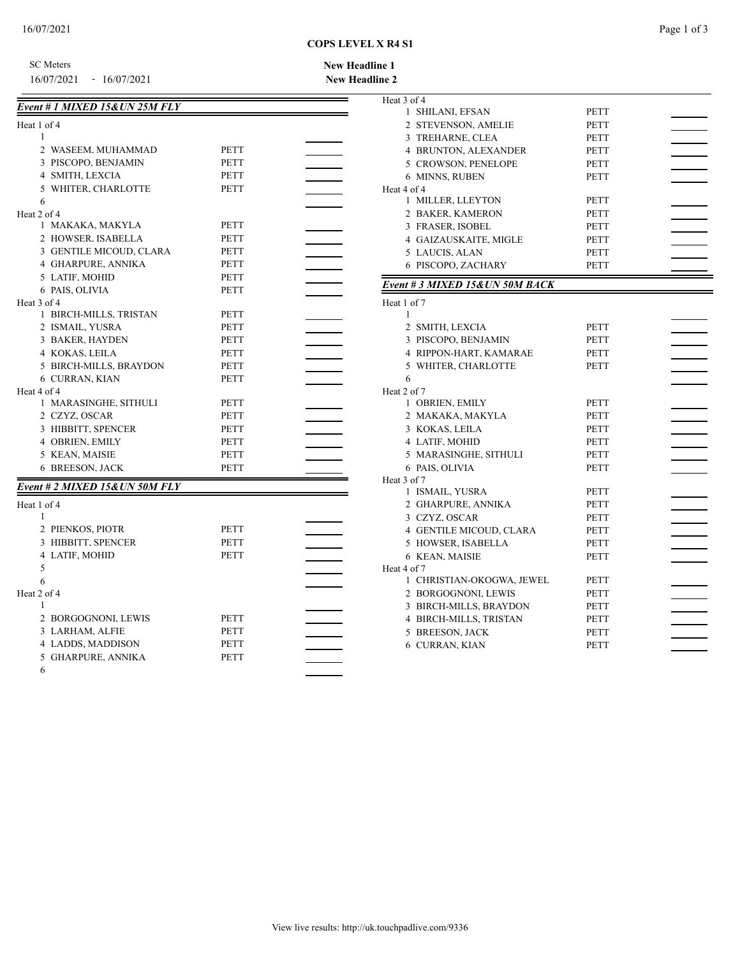## **COPS LEVEL X R4 S1**

SC Meters

16/07/2021 - 16/07/2021

## **New Headline 2 New Headline 1**

Ξ

| Event # 1 MIXED 15&UN 25M FLY |             |  |
|-------------------------------|-------------|--|
| Heat 1 of 4                   |             |  |
| 1                             |             |  |
| 2 WASEEM, MUHAMMAD            | PETT        |  |
| 3 PISCOPO, BENJAMIN           | <b>PETT</b> |  |
| 4 SMITH, LEXCIA               | PETT        |  |
| 5 WHITER, CHARLOTTE           | PETT        |  |
| 6                             |             |  |
| Heat 2 of 4                   |             |  |
| 1 MAKAKA, MAKYLA              | PETT        |  |
| 2 HOWSER, ISABELLA            | <b>PETT</b> |  |
| 3 GENTILE MICOUD, CLARA       | PETT        |  |
| 4 GHARPURE, ANNIKA            | PETT        |  |
| 5 LATIF, MOHID                | <b>PETT</b> |  |
| 6 PAIS, OLIVIA                | PETT        |  |
| Heat 3 of 4                   |             |  |
| 1 BIRCH-MILLS, TRISTAN        | PETT        |  |
| 2 ISMAIL, YUSRA               | <b>PETT</b> |  |
| 3 BAKER, HAYDEN               | <b>PETT</b> |  |
| 4 KOKAS, LEILA                | PETT        |  |
| 5 BIRCH-MILLS, BRAYDON        | <b>PETT</b> |  |
| 6 CURRAN, KIAN                | <b>PETT</b> |  |
| Heat 4 of 4                   |             |  |
| 1 MARASINGHE, SITHULI         | <b>PETT</b> |  |
| 2 CZYZ, OSCAR                 | <b>PETT</b> |  |
| 3 HIBBITT, SPENCER            | PETT        |  |
| 4 OBRIEN, EMILY               | PETT        |  |
| 5 KEAN, MAISIE                | PETT        |  |
| <b>6 BREESON, JACK</b>        | PETT        |  |
| Event # 2 MIXED 15&UN 50M FLY |             |  |
| Heat 1 of 4                   |             |  |
| 1                             |             |  |
| 2 PIENKOS, PIOTR              | PETT        |  |
| 3 HIBBITT, SPENCER            | PETT        |  |
| 4 LATIF, MOHID                | <b>PETT</b> |  |
| 5                             |             |  |
| 6                             |             |  |
| Heat 2 of 4                   |             |  |
| 1                             |             |  |
| 2 BORGOGNONI, LEWIS           | <b>PETT</b> |  |
| 3 LARHAM, ALFIE               | <b>PETT</b> |  |
| 4 LADDS, MADDISON             | PETT        |  |
| 5 GHARPURE, ANNIKA            | PETT        |  |
| 6                             |             |  |

| Heat 3 of 4                     |             |  |
|---------------------------------|-------------|--|
| 1 SHILANI, EFSAN                | PETT        |  |
| 2 STEVENSON, AMELIE             | <b>PETT</b> |  |
| 3 TREHARNE, CLEA                | PETT        |  |
| <b>4 BRUNTON, ALEXANDER</b>     | <b>PETT</b> |  |
| 5 CROWSON, PENELOPE             | <b>PETT</b> |  |
| 6 MINNS, RUBEN                  | <b>PETT</b> |  |
| Heat 4 of 4                     |             |  |
| 1 MILLER, LLEYTON               | PETT        |  |
| 2 BAKER, KAMERON                | PETT        |  |
| 3 FRASER, ISOBEL                | <b>PETT</b> |  |
| 4 GAIZAUSKAITE, MIGLE           | PETT        |  |
| 5 LAUCIS, ALAN                  | <b>PETT</b> |  |
| 6 PISCOPO, ZACHARY              | PETT        |  |
|                                 |             |  |
| Event # 3 MIXED 15& UN 50M BACK |             |  |
| Heat 1 of 7                     |             |  |
| 1                               |             |  |
| 2 SMITH, LEXCIA                 | PETT        |  |
| 3 PISCOPO, BENJAMIN             | PETT        |  |
| 4 RIPPON-HART, KAMARAE          | <b>PETT</b> |  |
| 5 WHITER, CHARLOTTE             | <b>PETT</b> |  |
| 6                               |             |  |
| Heat 2 of 7                     |             |  |
| 1 OBRIEN, EMILY                 | <b>PETT</b> |  |
| 2 MAKAKA, MAKYLA                | PETT        |  |
| 3 KOKAS, LEILA                  | PETT        |  |
| 4 LATIF, MOHID                  | <b>PETT</b> |  |
| 5 MARASINGHE, SITHULI           | PETT        |  |
| 6 PAIS, OLIVIA                  | PETT        |  |
| Heat 3 of 7                     |             |  |
| 1 ISMAIL, YUSRA                 | PETT        |  |
| 2 GHARPURE, ANNIKA              | <b>PETT</b> |  |
| 3 CZYZ, OSCAR                   | PETT        |  |
| <b>4 GENTILE MICOUD, CLARA</b>  | <b>PETT</b> |  |
| 5 HOWSER, ISABELLA              | PETT        |  |
| 6 KEAN, MAISIE                  | PETT        |  |
| Heat 4 of 7                     |             |  |
| 1 CHRISTIAN-OKOGWA, JEWEL       | PETT        |  |
| 2 BORGOGNONI, LEWIS             | PETT        |  |
| 3 BIRCH-MILLS, BRAYDON          | PETT        |  |
| 4 BIRCH-MILLS, TRISTAN          | PETT        |  |
| 5 BREESON, JACK                 | PETT        |  |
| <b>6 CURRAN, KIAN</b>           | PETT        |  |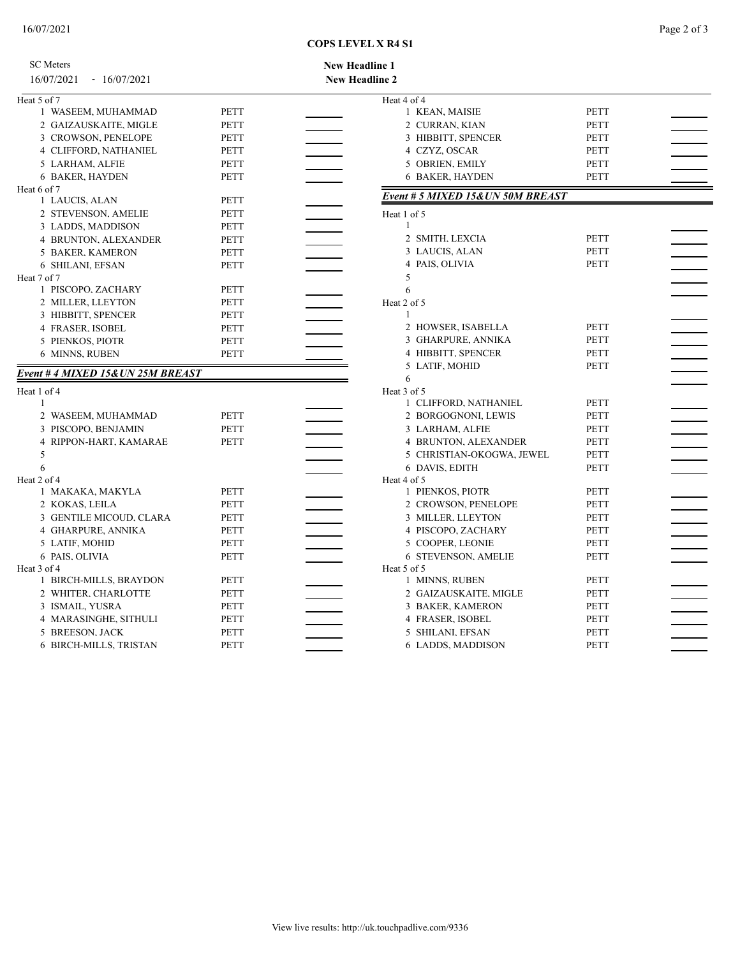## **COPS LEVEL X R4 S1**

| <b>SC</b> Meters                 |             | <b>New Headline 1</b>             |             |                          |
|----------------------------------|-------------|-----------------------------------|-------------|--------------------------|
| 16/07/2021 - 16/07/2021          |             | <b>New Headline 2</b>             |             |                          |
| Heat 5 of 7                      |             | Heat 4 of 4                       |             |                          |
| 1 WASEEM, MUHAMMAD               | <b>PETT</b> | 1 KEAN, MAISIE                    | <b>PETT</b> |                          |
| 2 GAIZAUSKAITE, MIGLE            | <b>PETT</b> | 2 CURRAN, KIAN                    | <b>PETT</b> |                          |
| 3 CROWSON, PENELOPE              | <b>PETT</b> | 3 HIBBITT, SPENCER                | PETT        |                          |
| 4 CLIFFORD, NATHANIEL            | <b>PETT</b> | 4 CZYZ, OSCAR                     | <b>PETT</b> |                          |
| 5 LARHAM, ALFIE                  | <b>PETT</b> | 5 OBRIEN, EMILY                   | PETT        |                          |
| 6 BAKER, HAYDEN                  | <b>PETT</b> | <b>6 BAKER, HAYDEN</b>            | <b>PETT</b> |                          |
| Heat 6 of 7                      |             |                                   |             |                          |
| 1 LAUCIS, ALAN                   | <b>PETT</b> | Event # 5 MIXED 15& UN 50M BREAST |             |                          |
| 2 STEVENSON, AMELIE              | PETT        | Heat 1 of 5                       |             |                          |
| 3 LADDS, MADDISON                | <b>PETT</b> | $\mathbf{1}$                      |             |                          |
| 4 BRUNTON, ALEXANDER             | <b>PETT</b> | 2 SMITH, LEXCIA                   | <b>PETT</b> |                          |
| 5 BAKER, KAMERON                 | <b>PETT</b> | 3 LAUCIS, ALAN                    | <b>PETT</b> |                          |
| 6 SHILANI, EFSAN                 | <b>PETT</b> | 4 PAIS, OLIVIA                    | <b>PETT</b> |                          |
| Heat 7 of 7                      |             | 5                                 |             |                          |
| 1 PISCOPO, ZACHARY               | <b>PETT</b> | 6                                 |             |                          |
| 2 MILLER, LLEYTON                | <b>PETT</b> | Heat 2 of 5                       |             |                          |
| 3 HIBBITT, SPENCER               | <b>PETT</b> | $\mathbf{1}$                      |             |                          |
| 4 FRASER, ISOBEL                 | <b>PETT</b> | 2 HOWSER, ISABELLA                | <b>PETT</b> |                          |
| 5 PIENKOS, PIOTR                 | <b>PETT</b> | 3 GHARPURE, ANNIKA                | PETT        |                          |
| 6 MINNS, RUBEN                   | <b>PETT</b> | 4 HIBBITT, SPENCER                | <b>PETT</b> |                          |
| Event # 4 MIXED 15&UN 25M BREAST |             | 5 LATIF, MOHID                    | PETT        |                          |
|                                  |             | 6                                 |             |                          |
| Heat 1 of 4                      |             | Heat 3 of 5                       |             |                          |
| 1                                |             | 1 CLIFFORD, NATHANIEL             | <b>PETT</b> |                          |
| 2 WASEEM, MUHAMMAD               | <b>PETT</b> | 2 BORGOGNONI, LEWIS               | PETT        |                          |
| 3 PISCOPO, BENJAMIN              | <b>PETT</b> | 3 LARHAM, ALFIE                   | PETT        |                          |
| 4 RIPPON-HART, KAMARAE           | <b>PETT</b> | 4 BRUNTON, ALEXANDER              | PETT        |                          |
| 5                                |             | 5 CHRISTIAN-OKOGWA, JEWEL         | PETT        |                          |
| 6                                |             | 6 DAVIS, EDITH                    | <b>PETT</b> |                          |
| Heat 2 of 4<br>1 MAKAKA, MAKYLA  | <b>PETT</b> | Heat 4 of 5<br>1 PIENKOS, PIOTR   | PETT        |                          |
| 2 KOKAS, LEILA                   | <b>PETT</b> | 2 CROWSON, PENELOPE               | PETT        |                          |
| 3 GENTILE MICOUD, CLARA          | <b>PETT</b> | 3 MILLER, LLEYTON                 | PETT        |                          |
| 4 GHARPURE, ANNIKA               | PETT        | 4 PISCOPO, ZACHARY                | PETT        |                          |
| 5 LATIF, MOHID                   | <b>PETT</b> | 5 COOPER, LEONIE                  | <b>PETT</b> | $\overline{\phantom{0}}$ |
| 6 PAIS, OLIVIA                   | <b>PETT</b> | <b>6 STEVENSON, AMELIE</b>        | <b>PETT</b> |                          |
| Heat 3 of 4                      |             | Heat 5 of 5                       |             |                          |
| 1 BIRCH-MILLS, BRAYDON           | PETT        | 1 MINNS, RUBEN                    | PETT        |                          |
| 2 WHITER, CHARLOTTE              | PETT        | 2 GAIZAUSKAITE, MIGLE             | PETT        |                          |
| 3 ISMAIL, YUSRA                  | <b>PETT</b> | 3 BAKER, KAMERON                  | <b>PETT</b> |                          |
| 4 MARASINGHE, SITHULI            | <b>PETT</b> | 4 FRASER, ISOBEL                  | PETT        |                          |
| 5 BREESON, JACK                  | <b>PETT</b> | 5 SHILANI, EFSAN                  | <b>PETT</b> |                          |
| 6 BIRCH-MILLS, TRISTAN           | <b>PETT</b> | 6 LADDS, MADDISON                 | <b>PETT</b> |                          |